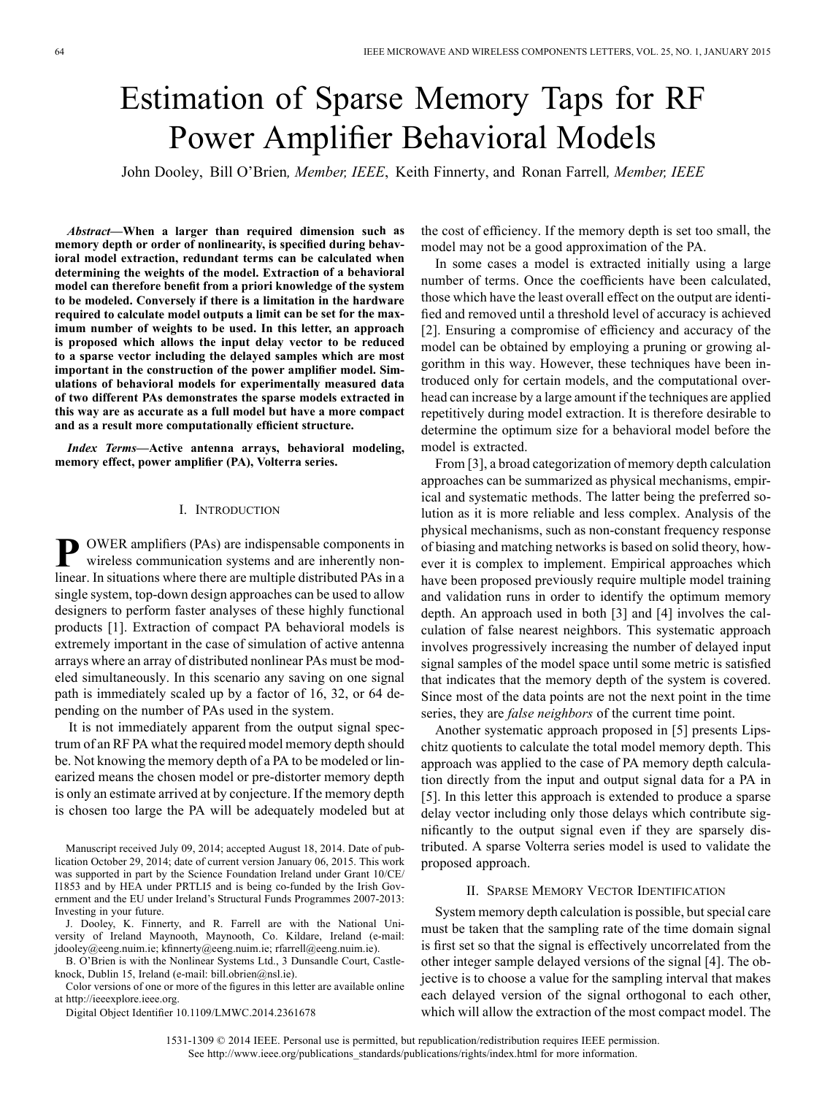# Estimation of Sparse Memory Taps for RF Power Amplifier Behavioral Models

John Dooley, Bill O'Brien*, Member, IEEE*, Keith Finnerty, and Ronan Farrell*, Member, IEEE*

*Abstract—***When a larger than required dimension such as memory depth or order of nonlinearity, is specified during behavioral model extraction, redundant terms can be calculated when determining the weights of the model. Extraction of a behavioral model can therefore benefit from a priori knowledge of the system to be modeled. Conversely if there is a limitation in the hardware required to calculate model outputs a limit can be set for the maximum number of weights to be used. In this letter, an approach is proposed which allows the input delay vector to be reduced to a sparse vector including the delayed samples which are most important in the construction of the power amplifier model. Simulations of behavioral models for experimentally measured data of two different PAs demonstrates the sparse models extracted in this way are as accurate as a full model but have a more compact and as a result more computationally efficient structure.**

*Index Terms—***Active antenna arrays, behavioral modeling, memory effect, power amplifier (PA), Volterra series.**

# I. INTRODUCTION

**P** OWER amplifiers (PAs) are indispensable components in wireless communication systems and are inherently nonlinear. In situations where there are multiple distributed PAs in a single system, top-down design approaches can be used to allow designers to perform faster analyses of these highly functional products [1]. Extraction of compact PA behavioral models is extremely important in the case of simulation of active antenna arrays where an array of distributed nonlinear PAs must be modeled simultaneously. In this scenario any saving on one signal path is immediately scaled up by a factor of 16, 32, or 64 depending on the number of PAs used in the system.

It is not immediately apparent from the output signal spectrum of an RF PA what the required model memory depth should be. Not knowing the memory depth of a PA to be modeled or linearized means the chosen model or pre-distorter memory depth is only an estimate arrived at by conjecture. If the memory depth is chosen too large the PA will be adequately modeled but at

Manuscript received July 09, 2014; accepted August 18, 2014. Date of publication October 29, 2014; date of current version January 06, 2015. This work was supported in part by the Science Foundation Ireland under Grant 10/CE/ I1853 and by HEA under PRTLI5 and is being co-funded by the Irish Government and the EU under Ireland's Structural Funds Programmes 2007-2013: Investing in your future.

J. Dooley, K. Finnerty, and R. Farrell are with the National University of Ireland Maynooth, Maynooth, Co. Kildare, Ireland (e-mail: jdooley@eeng.nuim.ie; kfinnerty@eeng.nuim.ie; rfarrell@eeng.nuim.ie).

B. O'Brien is with the Nonlinear Systems Ltd., 3 Dunsandle Court, Castleknock, Dublin 15, Ireland (e-mail: bill.obrien@nsl.ie).

Color versions of one or more of the figures in this letter are available online at http://ieeexplore.ieee.org.

Digital Object Identifier 10.1109/LMWC.2014.2361678

the cost of efficiency. If the memory depth is set too small, the model may not be a good approximation of the PA.

In some cases a model is extracted initially using a large number of terms. Once the coefficients have been calculated, those which have the least overall effect on the output are identified and removed until a threshold level of accuracy is achieved [2]. Ensuring a compromise of efficiency and accuracy of the model can be obtained by employing a pruning or growing algorithm in this way. However, these techniques have been introduced only for certain models, and the computational overhead can increase by a large amount if the techniques are applied repetitively during model extraction. It is therefore desirable to determine the optimum size for a behavioral model before the model is extracted.

From [3], a broad categorization of memory depth calculation approaches can be summarized as physical mechanisms, empirical and systematic methods. The latter being the preferred solution as it is more reliable and less complex. Analysis of the physical mechanisms, such as non-constant frequency response of biasing and matching networks is based on solid theory, however it is complex to implement. Empirical approaches which have been proposed previously require multiple model training and validation runs in order to identify the optimum memory depth. An approach used in both [3] and [4] involves the calculation of false nearest neighbors. This systematic approach involves progressively increasing the number of delayed input signal samples of the model space until some metric is satisfied that indicates that the memory depth of the system is covered. Since most of the data points are not the next point in the time series, they are *false neighbors* of the current time point.

Another systematic approach proposed in [5] presents Lipschitz quotients to calculate the total model memory depth. This approach was applied to the case of PA memory depth calculation directly from the input and output signal data for a PA in [5]. In this letter this approach is extended to produce a sparse delay vector including only those delays which contribute significantly to the output signal even if they are sparsely distributed. A sparse Volterra series model is used to validate the proposed approach.

# II. SPARSE MEMORY VECTOR IDENTIFICATION

System memory depth calculation is possible, but special care must be taken that the sampling rate of the time domain signal is first set so that the signal is effectively uncorrelated from the other integer sample delayed versions of the signal [4]. The objective is to choose a value for the sampling interval that makes each delayed version of the signal orthogonal to each other, which will allow the extraction of the most compact model. The

1531-1309 © 2014 IEEE. Personal use is permitted, but republication/redistribution requires IEEE permission. See http://www.ieee.org/publications\_standards/publications/rights/index.html for more information.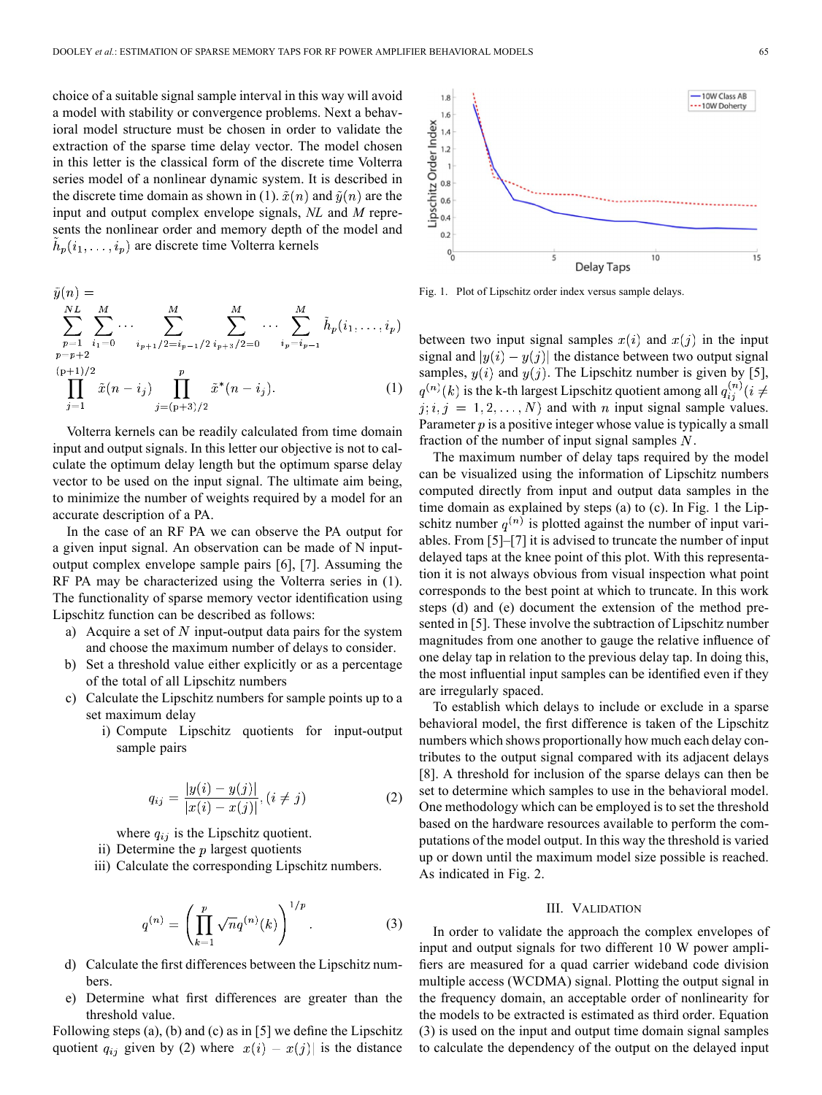choice of a suitable signal sample interval in this way will avoid a model with stability or convergence problems. Next a behavioral model structure must be chosen in order to validate the extraction of the sparse time delay vector. The model chosen in this letter is the classical form of the discrete time Volterra series model of a nonlinear dynamic system. It is described in the discrete time domain as shown in (1).  $\tilde{x}(n)$  and  $\tilde{y}(n)$  are the input and output complex envelope signals, *NL* and *M* represents the nonlinear order and memory depth of the model and  $\tilde{h}_p(i_1,\ldots,i_p)$  are discrete time Volterra kernels

$$
\tilde{y}(n) = \sum_{\substack{p=1 \ p=p+2}}^{NL} \sum_{i_1=0}^{M} \cdots \sum_{i_{p+1}/2=i_{p-1}/2}^{M} \sum_{i_{p+3}/2=0}^{M} \cdots \sum_{i_{p}=i_{p-1}}^{M} \tilde{h}_p(i_1,\ldots,i_p)
$$
\n
$$
\prod_{j=1}^{(p+1)/2} \tilde{x}(n-i_j) \prod_{j=(p+3)/2}^{p} \tilde{x}^*(n-i_j). \tag{1}
$$

Volterra kernels can be readily calculated from time domain input and output signals. In this letter our objective is not to calculate the optimum delay length but the optimum sparse delay vector to be used on the input signal. The ultimate aim being, to minimize the number of weights required by a model for an accurate description of a PA.

In the case of an RF PA we can observe the PA output for a given input signal. An observation can be made of N inputoutput complex envelope sample pairs [6], [7]. Assuming the RF PA may be characterized using the Volterra series in (1). The functionality of sparse memory vector identification using Lipschitz function can be described as follows:

- a) Acquire a set of N input-output data pairs for the system and choose the maximum number of delays to consider.
- b) Set a threshold value either explicitly or as a percentage of the total of all Lipschitz numbers
- c) Calculate the Lipschitz numbers for sample points up to a set maximum delay
	- i) Compute Lipschitz quotients for input-output sample pairs

$$
q_{ij} = \frac{|y(i) - y(j)|}{|x(i) - x(j)|}, (i \neq j)
$$
 (2)

where  $q_{ij}$  is the Lipschitz quotient.

- ii) Determine the  $p$  largest quotients
- iii) Calculate the corresponding Lipschitz numbers.

$$
q^{(n)} = \left(\prod_{k=1}^{p} \sqrt{n} q^{(n)}(k)\right)^{1/p}.
$$
 (3)

- d) Calculate the first differences between the Lipschitz numbers.
- e) Determine what first differences are greater than the threshold value.

Following steps (a), (b) and (c) as in [5] we define the Lipschitz quotient  $q_{ij}$  given by (2) where  $|x(i) - x(j)|$  is the distance

Fig. 1. Plot of Lipschitz order index versus sample delays.

between two input signal samples  $x(i)$  and  $x(j)$  in the input signal and  $|y(i) - y(j)|$  the distance between two output signal samples,  $y(i)$  and  $y(j)$ . The Lipschitz number is given by [5],  $q^{(n)}(k)$  is the k-th largest Lipschitz quotient among all  $q_{ii}^{(n)}(i \neq$  $i, i, j = 1, 2, \dots, N$  and with *n* input signal sample values. Parameter  $p$  is a positive integer whose value is typically a small fraction of the number of input signal samples  $N$ .

The maximum number of delay taps required by the model can be visualized using the information of Lipschitz numbers computed directly from input and output data samples in the time domain as explained by steps (a) to (c). In Fig. 1 the Lipschitz number  $q^{(n)}$  is plotted against the number of input variables. From [5]–[7] it is advised to truncate the number of input delayed taps at the knee point of this plot. With this representation it is not always obvious from visual inspection what point corresponds to the best point at which to truncate. In this work steps (d) and (e) document the extension of the method presented in [5]. These involve the subtraction of Lipschitz number magnitudes from one another to gauge the relative influence of one delay tap in relation to the previous delay tap. In doing this, the most influential input samples can be identified even if they are irregularly spaced.

To establish which delays to include or exclude in a sparse behavioral model, the first difference is taken of the Lipschitz numbers which shows proportionally how much each delay contributes to the output signal compared with its adjacent delays [8]. A threshold for inclusion of the sparse delays can then be set to determine which samples to use in the behavioral model. One methodology which can be employed is to set the threshold based on the hardware resources available to perform the computations of the model output. In this way the threshold is varied up or down until the maximum model size possible is reached. As indicated in Fig. 2.

### III. VALIDATION

In order to validate the approach the complex envelopes of input and output signals for two different 10 W power amplifiers are measured for a quad carrier wideband code division multiple access (WCDMA) signal. Plotting the output signal in the frequency domain, an acceptable order of nonlinearity for the models to be extracted is estimated as third order. Equation (3) is used on the input and output time domain signal samples to calculate the dependency of the output on the delayed input